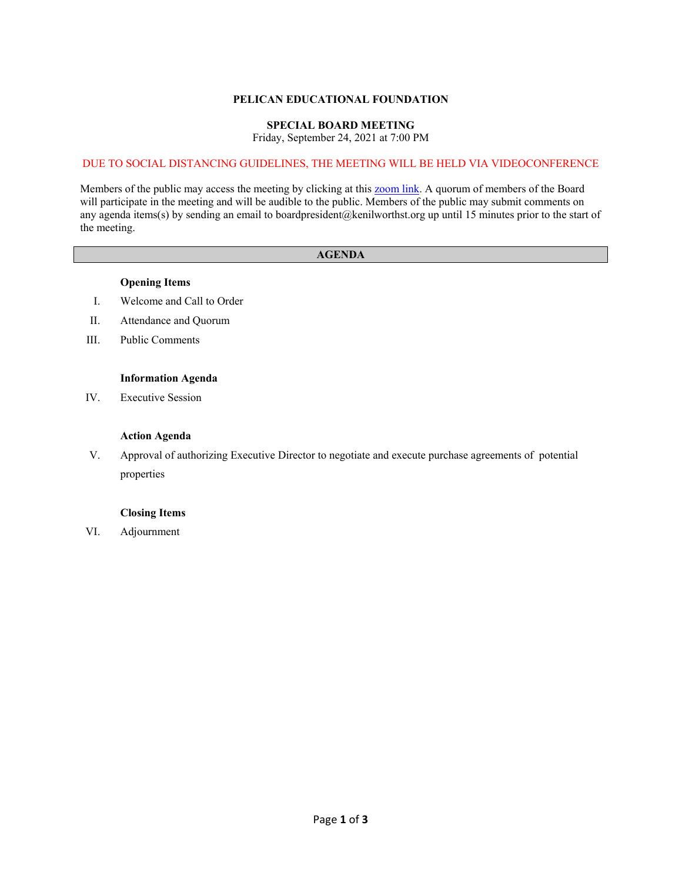### **PELICAN EDUCATIONAL FOUNDATION**

# **SPECIAL BOARD MEETING**

Friday, September 24, 2021 at 7:00 PM

### DUE TO SOCIAL DISTANCING GUIDELINES, THE MEETING WILL BE HELD VIA VIDEOCONFERENCE

Members of the public may access the meeting by clicking at this **zoom link**. A quorum of members of the Board will participate in the meeting and will be audible to the public. Members of the public may submit comments on any agenda items(s) by sending an email to boardpresident@kenilworthst.org up until 15 minutes prior to the start of the meeting.

### **AGENDA**

### **Opening Items**

- I. Welcome and Call to Order
- II. Attendance and Quorum
- III. Public Comments

### **Information Agenda**

IV. Executive Session

### **Action Agenda**

V. Approval of authorizing Executive Director to negotiate and execute purchase agreements of potential properties

### **Closing Items**

VI. Adjournment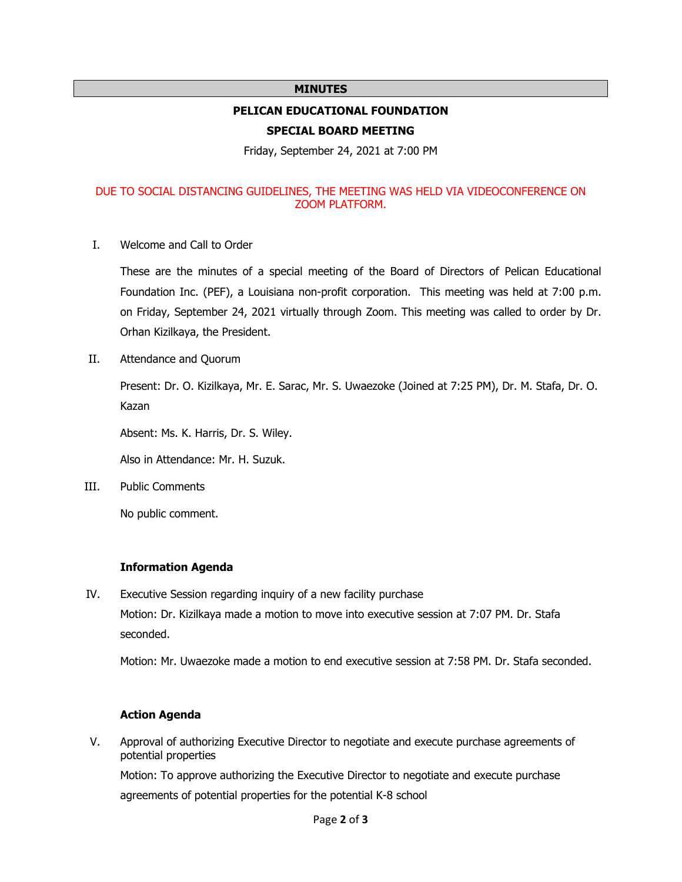### **MINUTES**

# **PELICAN EDUCATIONAL FOUNDATION**

### **SPECIAL BOARD MEETING**

Friday, September 24, 2021 at 7:00 PM

# DUE TO SOCIAL DISTANCING GUIDELINES, THE MEETING WAS HELD VIA VIDEOCONFERENCE ON ZOOM PLATFORM.

I. Welcome and Call to Order

These are the minutes of a special meeting of the Board of Directors of Pelican Educational Foundation Inc. (PEF), a Louisiana non-profit corporation. This meeting was held at 7:00 p.m. on Friday, September 24, 2021 virtually through Zoom. This meeting was called to order by Dr. Orhan Kizilkaya, the President.

II. Attendance and Quorum

Present: Dr. O. Kizilkaya, Mr. E. Sarac, Mr. S. Uwaezoke (Joined at 7:25 PM), Dr. M. Stafa, Dr. O. Kazan

Absent: Ms. K. Harris, Dr. S. Wiley.

Also in Attendance: Mr. H. Suzuk.

III. Public Comments

No public comment.

# **Information Agenda**

IV. Executive Session regarding inquiry of a new facility purchase Motion: Dr. Kizilkaya made a motion to move into executive session at 7:07 PM. Dr. Stafa seconded.

Motion: Mr. Uwaezoke made a motion to end executive session at 7:58 PM. Dr. Stafa seconded.

# **Action Agenda**

V. Approval of authorizing Executive Director to negotiate and execute purchase agreements of potential properties

Motion: To approve authorizing the Executive Director to negotiate and execute purchase agreements of potential properties for the potential K-8 school